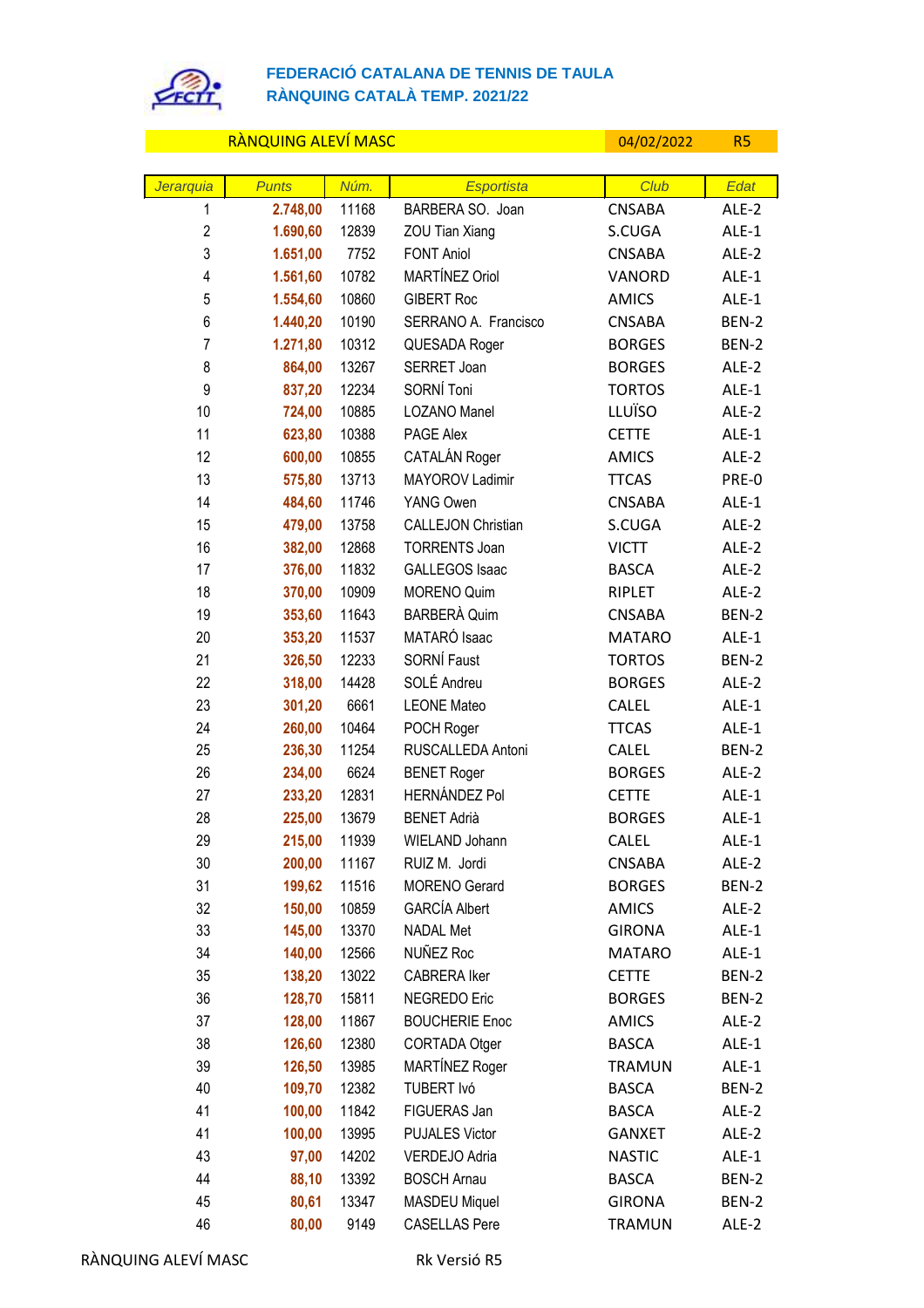

## **FEDERACIÓ CATALANA DE TENNIS DE TAULA RÀNQUING CATALÀ TEMP. 2021/22**

| RÀNQUING ALEVÍ MASC     |              |       |                           | 04/02/2022    | R <sub>5</sub> |
|-------------------------|--------------|-------|---------------------------|---------------|----------------|
|                         |              |       |                           |               |                |
| Jerarquia               | <b>Punts</b> | Núm.  | <b>Esportista</b>         | Club          | Edat           |
| 1                       | 2.748,00     | 11168 | BARBERA SO. Joan          | <b>CNSABA</b> | ALE-2          |
| $\overline{2}$          | 1.690,60     | 12839 | ZOU Tian Xiang            | S.CUGA        | ALE-1          |
| 3                       | 1.651,00     | 7752  | <b>FONT Aniol</b>         | <b>CNSABA</b> | ALE-2          |
| $\overline{\mathbf{4}}$ | 1.561,60     | 10782 | MARTÍNEZ Oriol            | VANORD        | $ALE-1$        |
| 5                       | 1.554,60     | 10860 | <b>GIBERT Roc</b>         | <b>AMICS</b>  | ALE-1          |
| 6                       | 1.440,20     | 10190 | SERRANO A. Francisco      | <b>CNSABA</b> | BEN-2          |
| $\overline{7}$          | 1.271,80     | 10312 | QUESADA Roger             | <b>BORGES</b> | BEN-2          |
| 8                       | 864,00       | 13267 | SERRET Joan               | <b>BORGES</b> | ALE-2          |
| 9                       | 837,20       | 12234 | SORNÍ Toni                | <b>TORTOS</b> | ALE-1          |
| 10                      | 724,00       | 10885 | LOZANO Manel              | LLUÏSO        | ALE-2          |
| 11                      | 623,80       | 10388 | PAGE Alex                 | <b>CETTE</b>  | ALE-1          |
| 12                      | 600,00       | 10855 | CATALÁN Roger             | <b>AMICS</b>  | ALE-2          |
| 13                      | 575,80       | 13713 | MAYOROV Ladimir           | <b>TTCAS</b>  | PRE-0          |
| 14                      | 484,60       | 11746 | YANG Owen                 | <b>CNSABA</b> | ALE-1          |
| 15                      | 479,00       | 13758 | <b>CALLEJON Christian</b> | S.CUGA        | ALE-2          |
| 16                      | 382,00       | 12868 | <b>TORRENTS Joan</b>      | <b>VICTT</b>  | ALE-2          |
| 17                      | 376,00       | 11832 | <b>GALLEGOS Isaac</b>     | <b>BASCA</b>  | ALE-2          |
| 18                      | 370,00       | 10909 | <b>MORENO Quim</b>        | <b>RIPLET</b> | ALE-2          |
| 19                      | 353,60       | 11643 | <b>BARBERÀ Quim</b>       | <b>CNSABA</b> | BEN-2          |
| 20                      | 353,20       | 11537 | MATARÓ Isaac              | <b>MATARO</b> | ALE-1          |
| 21                      | 326,50       | 12233 | SORNÍ Faust               | <b>TORTOS</b> | BEN-2          |
| 22                      | 318,00       | 14428 | SOLÉ Andreu               | <b>BORGES</b> | ALE-2          |
| 23                      | 301,20       | 6661  | <b>LEONE Mateo</b>        | CALEL         | ALE-1          |
| 24                      | 260,00       | 10464 | POCH Roger                | <b>TTCAS</b>  | ALE-1          |
| 25                      | 236,30       | 11254 | RUSCALLEDA Antoni         | CALEL         | BEN-2          |
| 26                      | 234,00       | 6624  | <b>BENET Roger</b>        | <b>BORGES</b> | ALE-2          |
| 27                      | 233,20       | 12831 | <b>HERNÁNDEZ Pol</b>      | <b>CETTE</b>  | ALE-1          |
| 28                      | 225,00       | 13679 | <b>BENET Adrià</b>        | <b>BORGES</b> | $ALE-1$        |
| 29                      | 215,00       | 11939 | WIELAND Johann            | CALEL         | ALE-1          |
| 30                      | 200,00       | 11167 | RUIZ M. Jordi             | CNSABA        | ALE-2          |
| 31                      | 199,62       | 11516 | <b>MORENO</b> Gerard      | <b>BORGES</b> | BEN-2          |
| 32                      | 150,00       | 10859 | <b>GARCÍA Albert</b>      | <b>AMICS</b>  | ALE-2          |
| 33                      | 145,00       | 13370 | <b>NADAL Met</b>          | <b>GIRONA</b> | ALE-1          |
| 34                      | 140,00       | 12566 | NUÑEZ Roc                 | <b>MATARO</b> | ALE-1          |
| 35                      | 138,20       | 13022 | CABRERA Iker              | <b>CETTE</b>  | BEN-2          |
| 36                      | 128,70       | 15811 | <b>NEGREDO Eric</b>       | <b>BORGES</b> | BEN-2          |
| 37                      | 128,00       | 11867 | <b>BOUCHERIE Enoc</b>     | <b>AMICS</b>  | ALE-2          |
| 38                      | 126,60       | 12380 | CORTADA Otger             | <b>BASCA</b>  | ALE-1          |
| 39                      | 126,50       | 13985 | MARTÍNEZ Roger            | <b>TRAMUN</b> | $ALE-1$        |
| 40                      | 109,70       | 12382 | TUBERT Ivó                | <b>BASCA</b>  | BEN-2          |
| 41                      | 100,00       | 11842 | FIGUERAS Jan              | <b>BASCA</b>  | ALE-2          |
| 41                      | 100,00       | 13995 | <b>PUJALES Victor</b>     | <b>GANXET</b> | ALE-2          |
| 43                      | 97,00        | 14202 | VERDEJO Adria             | <b>NASTIC</b> | ALE-1          |
| 44                      | 88,10        | 13392 | <b>BOSCH Arnau</b>        | <b>BASCA</b>  | BEN-2          |
| 45                      | 80,61        | 13347 | <b>MASDEU Miquel</b>      | <b>GIRONA</b> | BEN-2          |
| 46                      | 80,00        | 9149  | <b>CASELLAS Pere</b>      | <b>TRAMUN</b> | ALE-2          |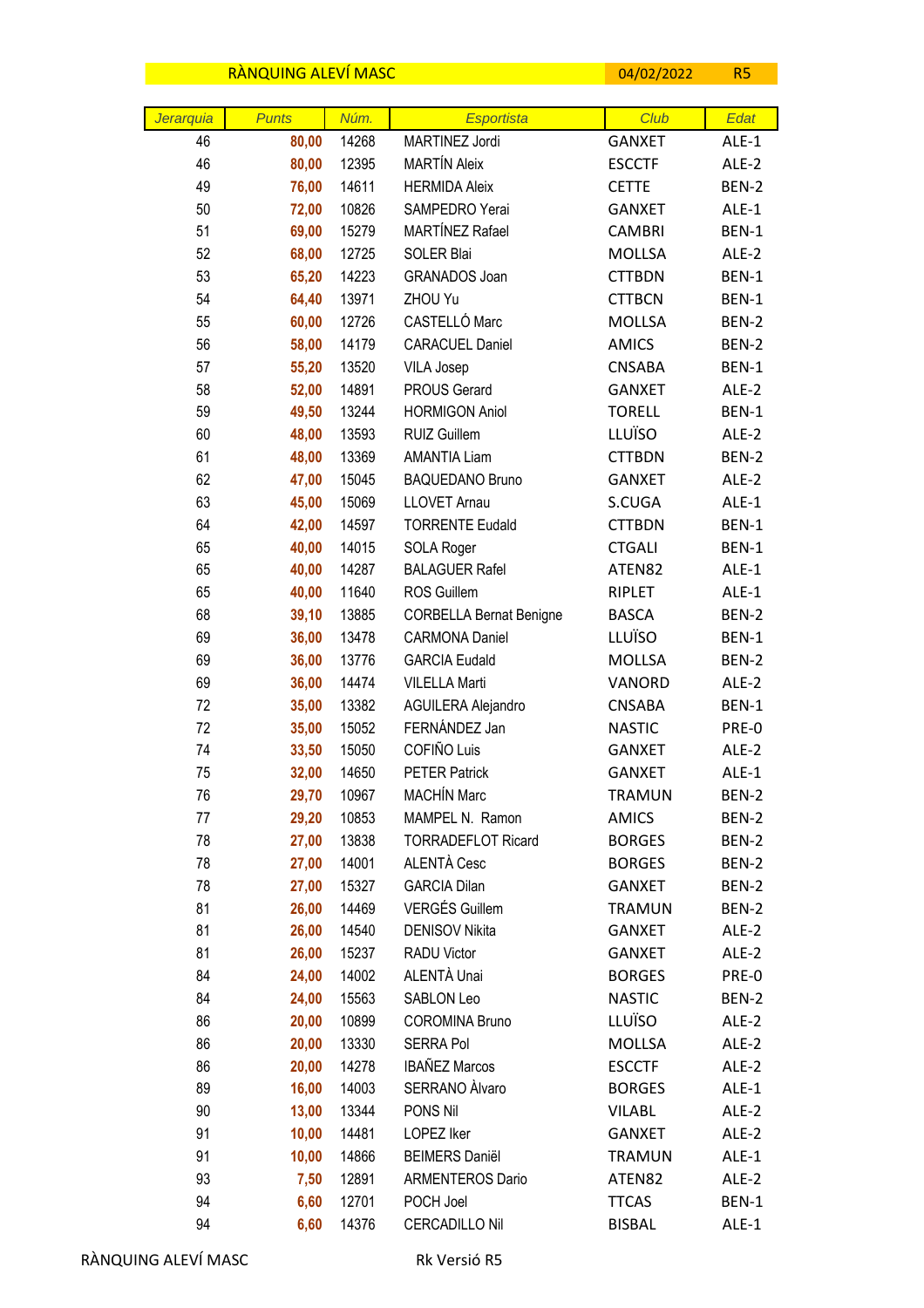|                 | RÀNQUING ALEVÍ MASC   |               |                                     | 04/02/2022            | R <sub>5</sub> |
|-----------------|-----------------------|---------------|-------------------------------------|-----------------------|----------------|
|                 |                       |               |                                     |                       |                |
| Jerarquia<br>46 | <b>Punts</b><br>80,00 | Núm.<br>14268 | <b>Esportista</b><br>MARTINEZ Jordi | Club<br><b>GANXET</b> | Edat<br>ALE-1  |
| 46              | 80,00                 | 12395         | <b>MARTÍN Aleix</b>                 | <b>ESCCTF</b>         | ALE-2          |
| 49              | 76,00                 | 14611         | <b>HERMIDA Aleix</b>                | <b>CETTE</b>          | BEN-2          |
| 50              | 72,00                 | 10826         | SAMPEDRO Yerai                      | <b>GANXET</b>         | ALE-1          |
| 51              | 69,00                 | 15279         | MARTÍNEZ Rafael                     | <b>CAMBRI</b>         | BEN-1          |
| 52              | 68,00                 | 12725         | SOLER Blai                          | <b>MOLLSA</b>         | ALE-2          |
| 53              | 65,20                 | 14223         | GRANADOS Joan                       | <b>CTTBDN</b>         | BEN-1          |
| 54              | 64,40                 | 13971         | ZHOU Yu                             | <b>CTTBCN</b>         | BEN-1          |
| 55              | 60,00                 | 12726         | CASTELLÓ Marc                       | <b>MOLLSA</b>         | BEN-2          |
| 56              | 58,00                 | 14179         | <b>CARACUEL Daniel</b>              | <b>AMICS</b>          | BEN-2          |
| 57              | 55,20                 | 13520         | <b>VILA Josep</b>                   | <b>CNSABA</b>         | BEN-1          |
| 58              | 52,00                 | 14891         | <b>PROUS Gerard</b>                 | <b>GANXET</b>         | ALE-2          |
| 59              | 49,50                 | 13244         | <b>HORMIGON Aniol</b>               | <b>TORELL</b>         | BEN-1          |
| 60              | 48,00                 | 13593         | RUIZ Guillem                        | LLUÏSO                | ALE-2          |
| 61              | 48,00                 | 13369         | <b>AMANTIA Liam</b>                 | <b>CTTBDN</b>         | BEN-2          |
| 62              | 47,00                 | 15045         | <b>BAQUEDANO Bruno</b>              | <b>GANXET</b>         | ALE-2          |
| 63              | 45,00                 | 15069         | <b>LLOVET Arnau</b>                 | S.CUGA                | ALE-1          |
| 64              | 42,00                 | 14597         | <b>TORRENTE Eudald</b>              | <b>CTTBDN</b>         | BEN-1          |
| 65              | 40,00                 | 14015         | SOLA Roger                          | <b>CTGALI</b>         | BEN-1          |
| 65              | 40,00                 | 14287         | <b>BALAGUER Rafel</b>               | ATEN82                | ALE-1          |
| 65              | 40,00                 | 11640         | ROS Guillem                         | RIPLET                | ALE-1          |
| 68              | 39,10                 | 13885         | <b>CORBELLA Bernat Benigne</b>      | <b>BASCA</b>          | BEN-2          |
| 69              | 36,00                 | 13478         | <b>CARMONA Daniel</b>               | LLUÏSO                | BEN-1          |
| 69              | 36,00                 | 13776         | <b>GARCIA Eudald</b>                | <b>MOLLSA</b>         | BEN-2          |
| 69              | 36,00                 | 14474         | <b>VILELLA Marti</b>                | VANORD                | ALE-2          |
| 72              | 35,00                 | 13382         | AGUILERA Alejandro                  | <b>CNSABA</b>         | BEN-1          |
| 72              | 35,00                 | 15052         | FERNÁNDEZ Jan                       | <b>NASTIC</b>         | PRE-0          |
| 74              | 33,50                 | 15050         | COFIÑO Luis                         | <b>GANXET</b>         | ALE-2          |
| 75              | 32,00                 | 14650         | <b>PETER Patrick</b>                | <b>GANXET</b>         | ALE-1          |
| 76              | 29,70                 | 10967         | <b>MACHÍN Marc</b>                  | <b>TRAMUN</b>         | BEN-2          |
| 77              | 29,20                 | 10853         | MAMPEL N. Ramon                     | <b>AMICS</b>          | BEN-2          |
| 78              | 27,00                 | 13838         | <b>TORRADEFLOT Ricard</b>           | <b>BORGES</b>         | BEN-2          |
| 78              | 27,00                 | 14001         | ALENTÀ Cesc                         | <b>BORGES</b>         | BEN-2          |
| 78              | 27,00                 | 15327         | <b>GARCIA Dilan</b>                 | <b>GANXET</b>         | BEN-2          |
| 81              | 26,00                 | 14469         | <b>VERGÉS Guillem</b>               | <b>TRAMUN</b>         | BEN-2          |
| 81              | 26,00                 | 14540         | <b>DENISOV Nikita</b>               | <b>GANXET</b>         | ALE-2          |
| 81              | 26,00                 | 15237         | RADU Victor                         | <b>GANXET</b>         | ALE-2          |
| 84              | 24,00                 | 14002         | ALENTÀ Unai                         | <b>BORGES</b>         | PRE-0          |
| 84              | 24,00                 | 15563         | SABLON Leo                          | <b>NASTIC</b>         | BEN-2          |
| 86              | 20,00                 | 10899         | <b>COROMINA Bruno</b>               | LLUÏSO                | ALE-2          |
| 86              | 20,00                 | 13330         | <b>SERRA Pol</b>                    | <b>MOLLSA</b>         | ALE-2          |
| 86              | 20,00                 | 14278         | <b>IBAÑEZ Marcos</b>                | <b>ESCCTF</b>         | ALE-2          |
| 89              | 16,00                 | 14003         | SERRANO Àlvaro                      | <b>BORGES</b>         | ALE-1          |
| 90              | 13,00                 | 13344         | PONS Nil                            | <b>VILABL</b>         | ALE-2          |
| 91              | 10,00                 | 14481         | LOPEZ Iker                          | <b>GANXET</b>         | ALE-2          |
| 91              | 10,00                 | 14866         | <b>BEIMERS Daniël</b>               | <b>TRAMUN</b>         | ALE-1          |
| 93              | 7,50                  | 12891         | <b>ARMENTEROS Dario</b>             | ATEN82                | ALE-2          |
| 94              | 6,60                  | 12701         | POCH Joel                           | <b>TTCAS</b>          | BEN-1          |
| 94              | 6,60                  | 14376         | CERCADILLO Nil                      | <b>BISBAL</b>         | ALE-1          |